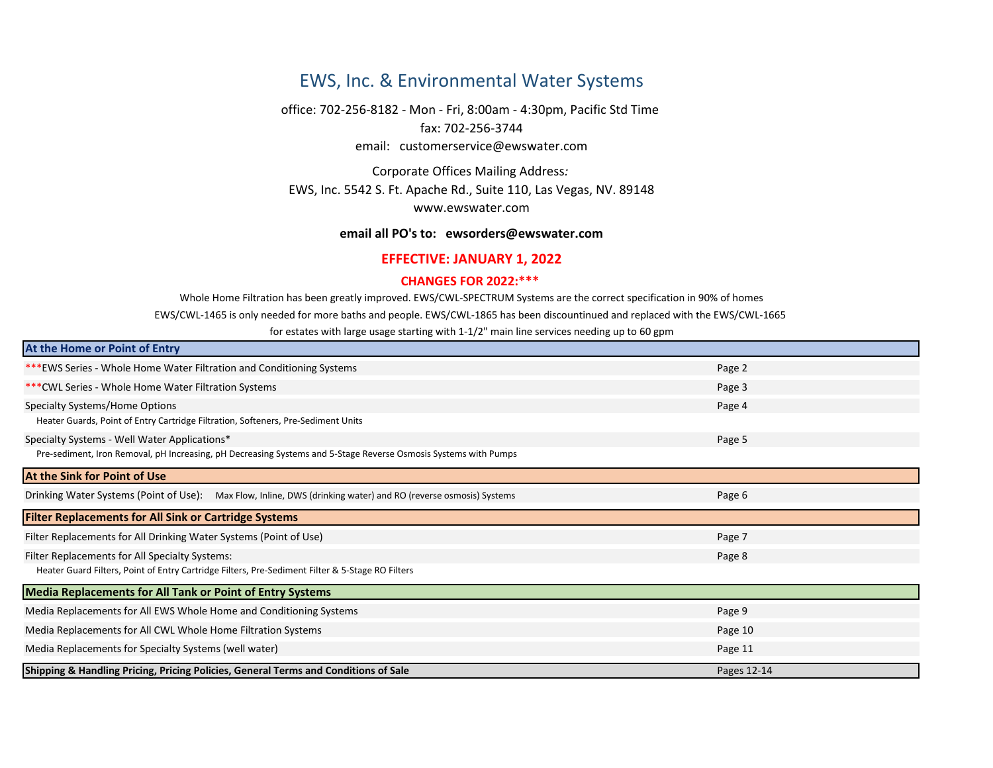# EWS, Inc. & Environmental Water Systems

fax: 702-256-3744 office: 702-256-8182 - Mon - Fri, 8:00am - 4:30pm, Pacific Std Time email: customerservice@ewswater.com

Corporate Offices Mailing Address*:*  EWS, Inc. 5542 S. Ft. Apache Rd., Suite 110, Las Vegas, NV. 89148 [w](mailto:ewsorders@ewswater.com)ww.ewswater.com

### **email all PO's to: ewsorders@ewswater.com**

## **EFFECTIVE: JANUARY 1, 2022**

### **CHANGES FOR 2022:\*\*\***

Whole Home Filtration has been greatly improved. EWS/CWL-SPECTRUM Systems are the correct specification in 90% of homes

EWS/CWL-1465 is only needed for more baths and people. EWS/CWL-1865 has been discountinued and replaced with the EWS/CWL-1665

for estates with large usage starting with 1-1/2" main line services needing up to 60 gpm

| At the Home or Point of Entry                                                                                   |             |
|-----------------------------------------------------------------------------------------------------------------|-------------|
| *** EWS Series - Whole Home Water Filtration and Conditioning Systems                                           | Page 2      |
| *** CWL Series - Whole Home Water Filtration Systems                                                            | Page 3      |
| Specialty Systems/Home Options                                                                                  | Page 4      |
| Heater Guards, Point of Entry Cartridge Filtration, Softeners, Pre-Sediment Units                               |             |
| Specialty Systems - Well Water Applications*                                                                    | Page 5      |
| Pre-sediment, Iron Removal, pH Increasing, pH Decreasing Systems and 5-Stage Reverse Osmosis Systems with Pumps |             |
| At the Sink for Point of Use                                                                                    |             |
| Drinking Water Systems (Point of Use): Max Flow, Inline, DWS (drinking water) and RO (reverse osmosis) Systems  | Page 6      |
| <b>Filter Replacements for All Sink or Cartridge Systems</b>                                                    |             |
| Filter Replacements for All Drinking Water Systems (Point of Use)                                               | Page 7      |
| Filter Replacements for All Specialty Systems:                                                                  | Page 8      |
| Heater Guard Filters, Point of Entry Cartridge Filters, Pre-Sediment Filter & 5-Stage RO Filters                |             |
| <b>Media Replacements for All Tank or Point of Entry Systems</b>                                                |             |
| Media Replacements for All EWS Whole Home and Conditioning Systems                                              | Page 9      |
| Media Replacements for All CWL Whole Home Filtration Systems                                                    | Page 10     |
| Media Replacements for Specialty Systems (well water)                                                           | Page 11     |
| <b>Shipping &amp; Handling Pricing, Pricing Policies, General Terms and Conditions of Sale</b>                  | Pages 12-14 |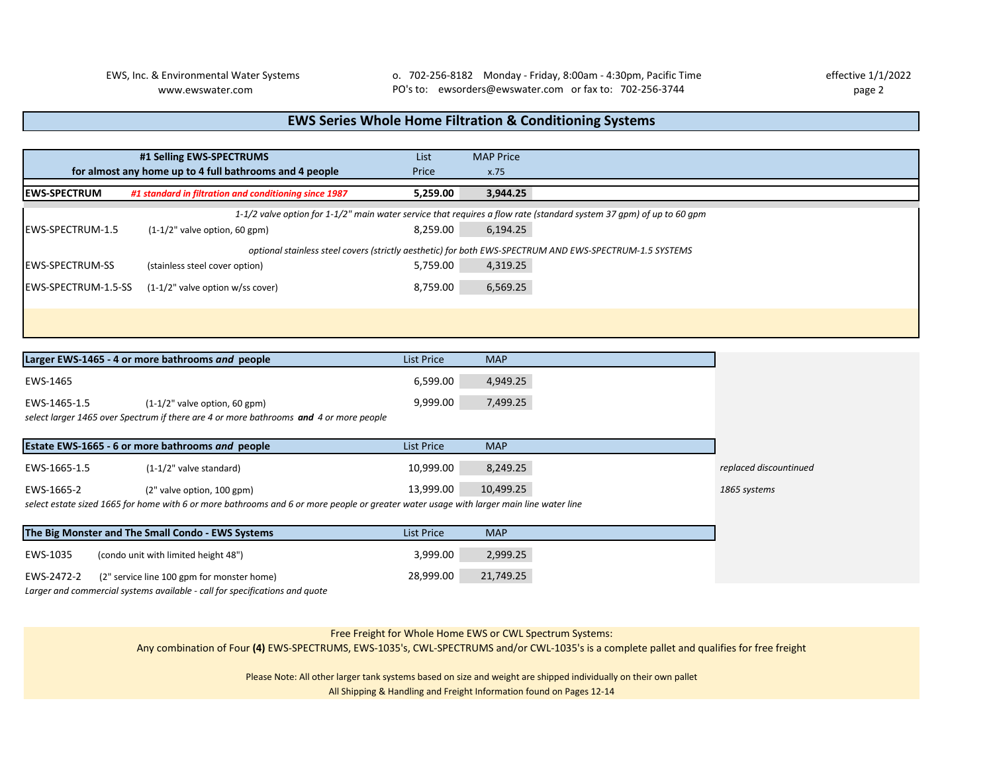## **EWS Series Whole Home Filtration & Conditioning Systems**

|                             | #1 Selling EWS-SPECTRUMS<br>for almost any home up to 4 full bathrooms and 4 people | List<br>Price | <b>MAP Price</b><br>x.75 |                                                                                                                     |
|-----------------------------|-------------------------------------------------------------------------------------|---------------|--------------------------|---------------------------------------------------------------------------------------------------------------------|
| <b>IEWS-SPECTRUM</b>        | #1 standard in filtration and conditioning since 1987                               | 5,259.00      | 3,944.25                 |                                                                                                                     |
|                             |                                                                                     |               |                          | 1-1/2 valve option for 1-1/2" main water service that requires a flow rate (standard system 37 qpm) of up to 60 qpm |
| <b>IEWS-SPECTRUM-1.5</b>    | $(1-1/2"$ valve option, 60 gpm)                                                     | 8,259.00      | 6,194.25                 |                                                                                                                     |
|                             |                                                                                     |               |                          | optional stainless steel covers (strictly aesthetic) for both EWS-SPECTRUM AND EWS-SPECTRUM-1.5 SYSTEMS             |
| <b>IEWS-SPECTRUM-SS</b>     | (stainless steel cover option)                                                      | 5,759.00      | 4,319.25                 |                                                                                                                     |
| <b>IEWS-SPECTRUM-1.5-SS</b> | $(1-1/2"$ valve option w/ss cover)                                                  | 8,759.00      | 6,569.25                 |                                                                                                                     |
|                             |                                                                                     |               |                          |                                                                                                                     |
|                             |                                                                                     |               |                          |                                                                                                                     |

|              | Larger EWS-1465 - 4 or more bathrooms and people                                                                                        | <b>List Price</b> | <b>MAP</b> |                        |
|--------------|-----------------------------------------------------------------------------------------------------------------------------------------|-------------------|------------|------------------------|
| EWS-1465     |                                                                                                                                         | 6,599.00          | 4,949.25   |                        |
| EWS-1465-1.5 | $(1-1/2"$ valve option, 60 gpm)                                                                                                         | 9,999.00          | 7,499.25   |                        |
|              | select larger 1465 over Spectrum if there are 4 or more bathrooms and 4 or more people                                                  |                   |            |                        |
|              | Estate EWS-1665 - 6 or more bathrooms and people                                                                                        | List Price        | <b>MAP</b> |                        |
| EWS-1665-1.5 | $(1-1/2"$ valve standard)                                                                                                               | 10,999.00         | 8,249.25   | replaced discountinued |
| EWS-1665-2   | (2" valve option, 100 gpm)                                                                                                              | 13,999.00         | 10,499.25  | 1865 systems           |
|              | select estate sized 1665 for home with 6 or more bathrooms and 6 or more people or greater water usage with larger main line water line |                   |            |                        |
|              | The Big Monster and The Small Condo - EWS Systems                                                                                       | List Price        | <b>MAP</b> |                        |
| EWS-1035     | (condo unit with limited height 48")                                                                                                    | 3,999.00          | 2,999.25   |                        |

*Larger and commercial systems available - call for specifications and quote*

EWS-2472-2 (2" service line 100 gpm for monster home) 28,999.00 21,749.25

### Free Freight for Whole Home EWS or CWL Spectrum Systems:

Any combination of Four **(4)** EWS-SPECTRUMS, EWS-1035's, CWL-SPECTRUMS and/or CWL-1035's is a complete pallet and qualifies for free freight

Please Note: All other larger tank systems based on size and weight are shipped individually on their own pallet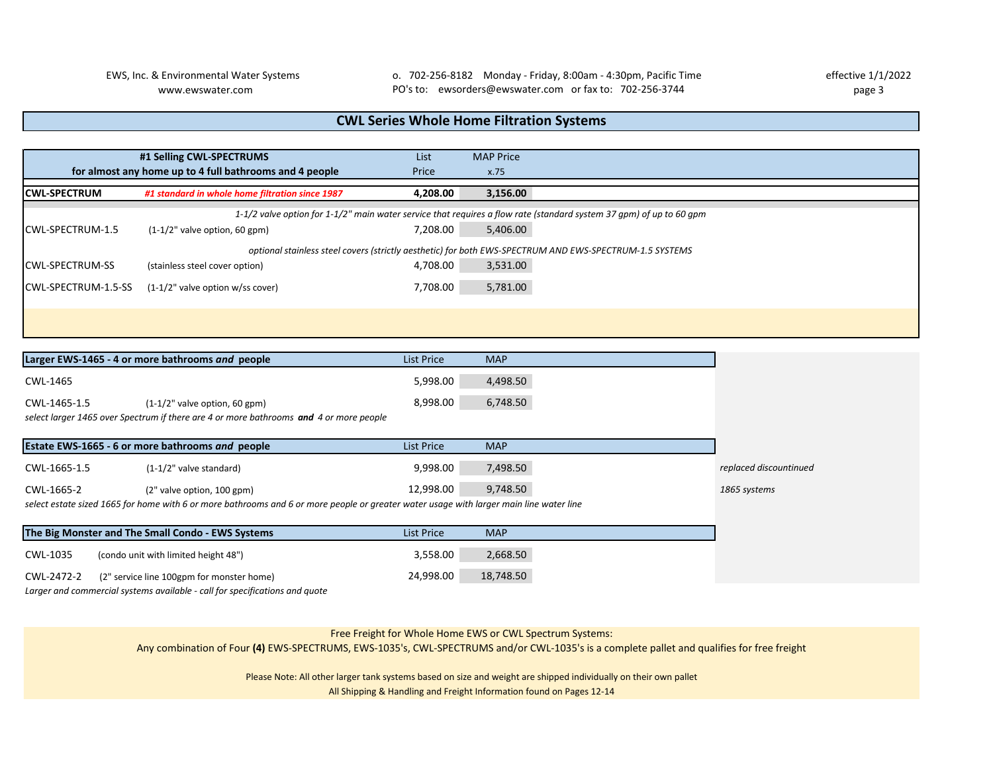EWS, Inc. & Environmental Water Systems o. 702-256-8182 Monday - Friday, 8:00am - 4:30pm, Pacific Time effective 1/1/2022 www.ewswater.com page 3 PO's to: ewsorders@ewswater.com or fax to: 702-256-3744

# **CWL Series Whole Home Filtration Systems**

|                         | #1 Selling CWL-SPECTRUMS                                                                                            | List     | <b>MAP Price</b>                                                                                        |  |
|-------------------------|---------------------------------------------------------------------------------------------------------------------|----------|---------------------------------------------------------------------------------------------------------|--|
|                         | for almost any home up to 4 full bathrooms and 4 people                                                             | Price    | x.75                                                                                                    |  |
| <b>ICWL-SPECTRUM</b>    | #1 standard in whole home filtration since 1987                                                                     | 4,208.00 | 3,156.00                                                                                                |  |
|                         | 1-1/2 valve option for 1-1/2" main water service that requires a flow rate (standard system 37 qpm) of up to 60 qpm |          |                                                                                                         |  |
| ICWL-SPECTRUM-1.5       | $(1-1/2"$ valve option, 60 gpm)                                                                                     | 7,208.00 | 5,406.00                                                                                                |  |
|                         |                                                                                                                     |          | optional stainless steel covers (strictly aesthetic) for both EWS-SPECTRUM AND EWS-SPECTRUM-1.5 SYSTEMS |  |
| <b>ICWL-SPECTRUM-SS</b> | (stainless steel cover option)                                                                                      | 4.708.00 | 3,531.00                                                                                                |  |
| ICWL-SPECTRUM-1.5-SS    | $(1-1/2"$ valve option w/ss cover)                                                                                  | 7,708.00 | 5,781.00                                                                                                |  |
|                         |                                                                                                                     |          |                                                                                                         |  |
|                         |                                                                                                                     |          |                                                                                                         |  |
|                         |                                                                                                                     |          |                                                                                                         |  |

|              | Larger EWS-1465 - 4 or more bathrooms and people                                                                                        | <b>List Price</b> | <b>MAP</b> |                        |
|--------------|-----------------------------------------------------------------------------------------------------------------------------------------|-------------------|------------|------------------------|
| CWL-1465     |                                                                                                                                         | 5,998.00          | 4,498.50   |                        |
| CWL-1465-1.5 | $(1-1/2"$ valve option, 60 gpm)                                                                                                         | 8,998.00          | 6,748.50   |                        |
|              | select larger 1465 over Spectrum if there are 4 or more bathrooms and 4 or more people                                                  |                   |            |                        |
|              | Estate EWS-1665 - 6 or more bathrooms and people                                                                                        | <b>List Price</b> | <b>MAP</b> |                        |
| CWL-1665-1.5 | $(1-1/2"$ valve standard)                                                                                                               | 9,998.00          | 7,498.50   | replaced discountinued |
| CWL-1665-2   | (2" valve option, 100 gpm)                                                                                                              | 12.998.00         | 9,748.50   | 1865 systems           |
|              | select estate sized 1665 for home with 6 or more bathrooms and 6 or more people or greater water usage with larger main line water line |                   |            |                        |
|              | The Big Monster and The Small Condo - EWS Systems                                                                                       | <b>List Price</b> | <b>MAP</b> |                        |
| CWL-1035     | (condo unit with limited height 48")                                                                                                    | 3,558.00          | 2,668.50   |                        |

*Larger and commercial systems available - call for specifications and quote*

CWL-2472-2 (2" service line 100gpm for monster home) 24,998.00 18,748.50

### Free Freight for Whole Home EWS or CWL Spectrum Systems:

Any combination of Four **(4)** EWS-SPECTRUMS, EWS-1035's, CWL-SPECTRUMS and/or CWL-1035's is a complete pallet and qualifies for free freight

Please Note: All other larger tank systems based on size and weight are shipped individually on their own pallet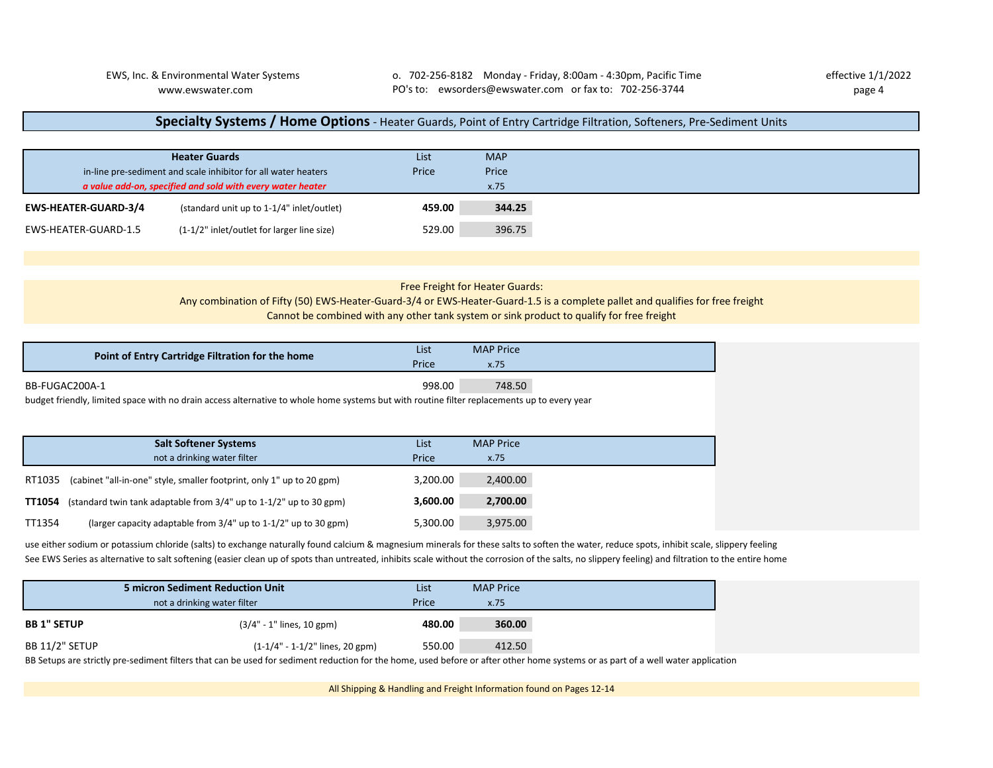### **Specialty Systems / Home Options** - Heater Guards, Point of Entry Cartridge Filtration, Softeners, Pre-Sediment Units

|                             | <b>Heater Guards</b>                                           | List   | <b>MAP</b> |
|-----------------------------|----------------------------------------------------------------|--------|------------|
|                             | in-line pre-sediment and scale inhibitor for all water heaters | Price  | Price      |
|                             | a value add-on, specified and sold with every water heater     |        | x.75       |
| <b>EWS-HEATER-GUARD-3/4</b> | (standard unit up to 1-1/4" inlet/outlet)                      | 459.00 | 344.25     |
| EWS-HEATER-GUARD-1.5        | (1-1/2" inlet/outlet for larger line size)                     | 529.00 | 396.75     |

| Free Freight for Heater Guards: |  |
|---------------------------------|--|
|---------------------------------|--|

### Any combination of Fifty (50) EWS-Heater-Guard-3/4 or EWS-Heater-Guard-1.5 is a complete pallet and qualifies for free freight Cannot be combined with any other tank system or sink product to qualify for free freight

|        | Point of Entry Cartridge Filtration for the home                                                                                            | List     | <b>MAP Price</b> |
|--------|---------------------------------------------------------------------------------------------------------------------------------------------|----------|------------------|
|        |                                                                                                                                             | Price    | x.75             |
|        | BB-FUGAC200A-1                                                                                                                              | 998.00   | 748.50           |
|        | budget friendly, limited space with no drain access alternative to whole home systems but with routine filter replacements up to every year |          |                  |
|        |                                                                                                                                             |          |                  |
|        | <b>Salt Softener Systems</b>                                                                                                                | List     | <b>MAP Price</b> |
|        | not a drinking water filter                                                                                                                 | Price    | x.75             |
|        | RT1035 (cabinet "all-in-one" style, smaller footprint, only 1" up to 20 gpm)                                                                | 3,200.00 | 2,400.00         |
|        | <b>TT1054</b> (standard twin tank adaptable from $3/4$ " up to $1-1/2$ " up to 30 gpm)                                                      | 3,600.00 | 2,700.00         |
|        |                                                                                                                                             |          |                  |
| TT1354 | (larger capacity adaptable from 3/4" up to 1-1/2" up to 30 gpm)                                                                             | 5.300.00 | 3.975.00         |

use either sodium or potassium chloride (salts) to exchange naturally found calcium & magnesium minerals for these salts to soften the water, reduce spots, inhibit scale, slippery feeling See EWS Series as alternative to salt softening (easier clean up of spots than untreated, inhibits scale without the corrosion of the salts, no slippery feeling) and filtration to the entire home

| 5 micron Sediment Reduction Unit |                                   | List   | <b>MAP Price</b> |
|----------------------------------|-----------------------------------|--------|------------------|
| not a drinking water filter      |                                   | Price  | x.75             |
| <b>BB 1" SETUP</b>               | (3/4" - 1" lines, 10 gpm)         | 480.00 | 360.00           |
| BB 11/2" SETUP                   | $(1-1/4" - 1-1/2"$ lines, 20 gpm) | 550.00 | 412.50           |

BB Setups are strictly pre-sediment filters that can be used for sediment reduction for the home, used before or after other home systems or as part of a well water application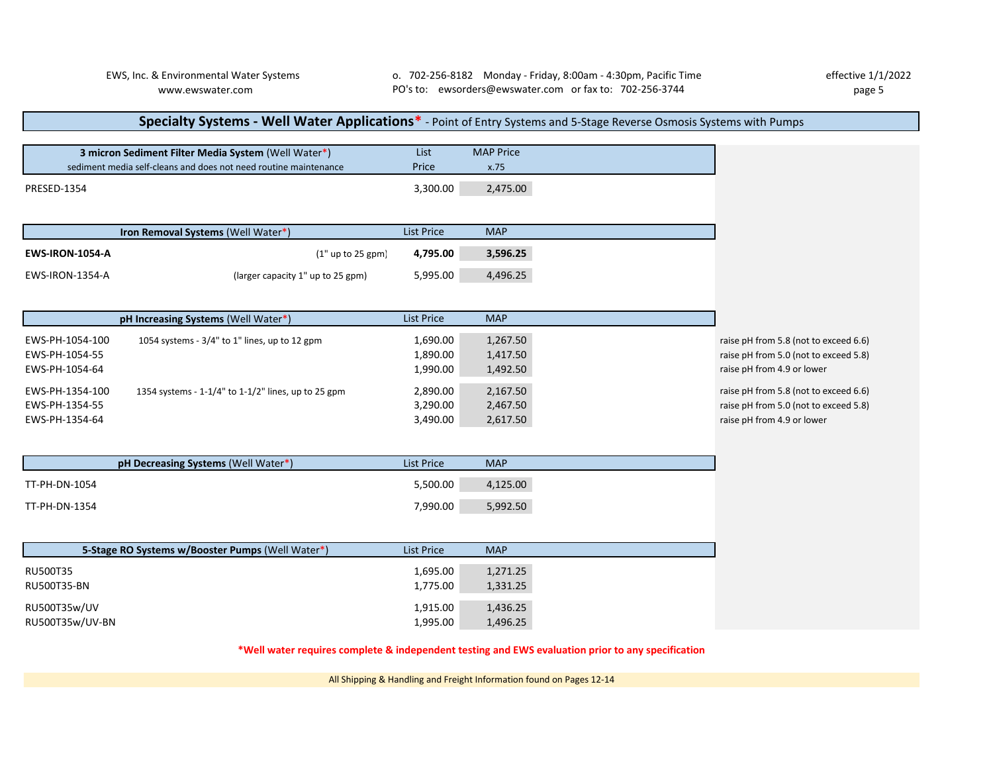RU500T35w/UV 1,436.25 RU500T35w/UV-BN 1,496.25

# **Specialty Systems - Well Water Applications\*** - Point of Entry Systems and 5-Stage Reverse Osmosis Systems with Pumps

|                        | 3 micron Sediment Filter Media System (Well Water*)              | List              | <b>MAP Price</b> |                                       |
|------------------------|------------------------------------------------------------------|-------------------|------------------|---------------------------------------|
|                        | sediment media self-cleans and does not need routine maintenance | Price             | x.75             |                                       |
| <b>PRESED-1354</b>     |                                                                  | 3,300.00          | 2,475.00         |                                       |
|                        |                                                                  | <b>List Price</b> | <b>MAP</b>       |                                       |
|                        | Iron Removal Systems (Well Water*)                               |                   |                  |                                       |
| <b>EWS-IRON-1054-A</b> | $(1"$ up to 25 gpm                                               | 4,795.00          | 3,596.25         |                                       |
| EWS-IRON-1354-A        | (larger capacity 1" up to 25 gpm)                                | 5,995.00          | 4,496.25         |                                       |
|                        |                                                                  |                   |                  |                                       |
|                        | pH Increasing Systems (Well Water*)                              | <b>List Price</b> | <b>MAP</b>       |                                       |
| EWS-PH-1054-100        | 1054 systems - 3/4" to 1" lines, up to 12 gpm                    | 1,690.00          | 1,267.50         | raise pH from 5.8 (not to exceed 6.6) |
| EWS-PH-1054-55         |                                                                  | 1,890.00          | 1,417.50         | raise pH from 5.0 (not to exceed 5.8) |
| EWS-PH-1054-64         |                                                                  | 1,990.00          | 1,492.50         | raise pH from 4.9 or lower            |
| EWS-PH-1354-100        | 1354 systems - 1-1/4" to 1-1/2" lines, up to 25 gpm              | 2,890.00          | 2,167.50         | raise pH from 5.8 (not to exceed 6.6) |
| EWS-PH-1354-55         |                                                                  | 3,290.00          | 2,467.50         | raise pH from 5.0 (not to exceed 5.8) |
| EWS-PH-1354-64         |                                                                  | 3,490.00          | 2,617.50         | raise pH from 4.9 or lower            |
|                        |                                                                  |                   |                  |                                       |
|                        | pH Decreasing Systems (Well Water*)                              | <b>List Price</b> | <b>MAP</b>       |                                       |
| TT-PH-DN-1054          |                                                                  | 5,500.00          | 4,125.00         |                                       |
| TT-PH-DN-1354          |                                                                  | 7,990.00          | 5,992.50         |                                       |
|                        |                                                                  |                   |                  |                                       |
|                        | 5-Stage RO Systems w/Booster Pumps (Well Water*)                 | <b>List Price</b> | <b>MAP</b>       |                                       |
| RU500T35               |                                                                  | 1,695.00          | 1,271.25         |                                       |
| RU500T35-BN            |                                                                  | 1,775.00          | 1,331.25         |                                       |

**\*Well water requires complete & independent testing and EWS evaluation prior to any specification**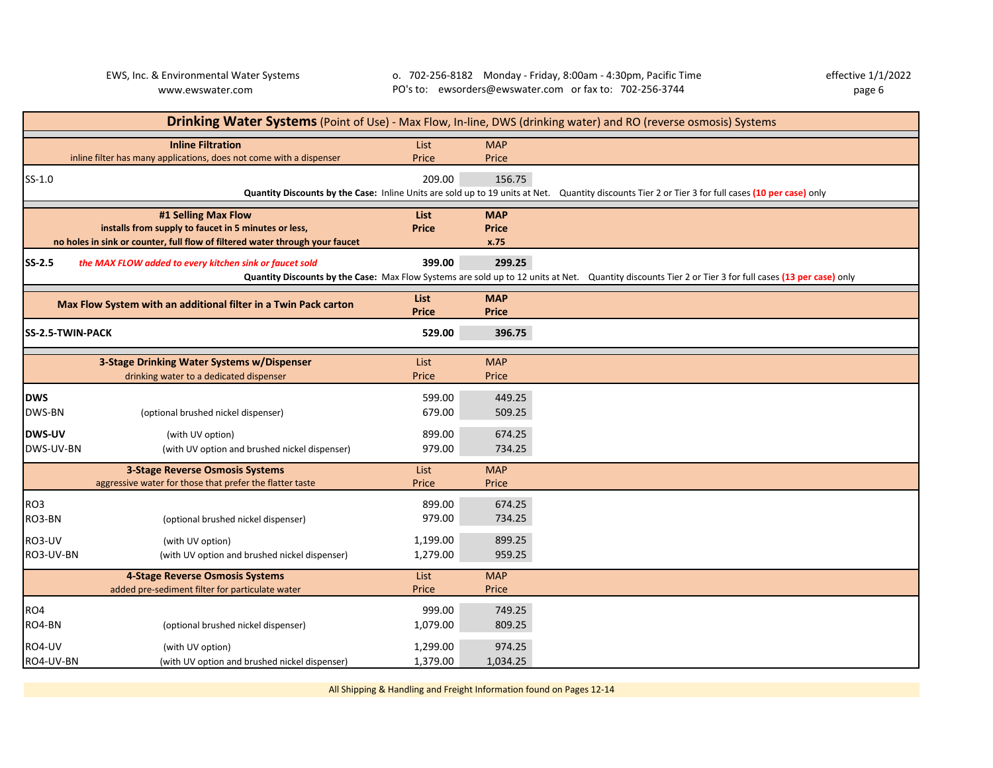|                            | Drinking Water Systems (Point of Use) - Max Flow, In-line, DWS (drinking water) and RO (reverse osmosis) Systems                                                                                                       |                                |                                              |                                                                                                                                                        |  |  |  |
|----------------------------|------------------------------------------------------------------------------------------------------------------------------------------------------------------------------------------------------------------------|--------------------------------|----------------------------------------------|--------------------------------------------------------------------------------------------------------------------------------------------------------|--|--|--|
|                            | <b>Inline Filtration</b><br>inline filter has many applications, does not come with a dispenser                                                                                                                        | List<br>Price                  | <b>MAP</b><br>Price                          |                                                                                                                                                        |  |  |  |
| $SS-1.0$                   |                                                                                                                                                                                                                        | 209.00                         | 156.75                                       | Quantity Discounts by the Case: Inline Units are sold up to 19 units at Net. Quantity discounts Tier 2 or Tier 3 for full cases (10 per case) only     |  |  |  |
| <b>SS-2.5</b>              | #1 Selling Max Flow<br>installs from supply to faucet in 5 minutes or less,<br>no holes in sink or counter, full flow of filtered water through your faucet<br>the MAX FLOW added to every kitchen sink or faucet sold | List<br><b>Price</b><br>399.00 | <b>MAP</b><br><b>Price</b><br>x.75<br>299.25 |                                                                                                                                                        |  |  |  |
|                            |                                                                                                                                                                                                                        |                                |                                              | Quantity Discounts by the Case: Max Flow Systems are sold up to 12 units at Net. Quantity discounts Tier 2 or Tier 3 for full cases (13 per case) only |  |  |  |
|                            | Max Flow System with an additional filter in a Twin Pack carton                                                                                                                                                        | List<br><b>Price</b>           | <b>MAP</b><br><b>Price</b>                   |                                                                                                                                                        |  |  |  |
| <b>SS-2.5-TWIN-PACK</b>    |                                                                                                                                                                                                                        | 529.00                         | 396.75                                       |                                                                                                                                                        |  |  |  |
|                            | 3-Stage Drinking Water Systems w/Dispenser<br>drinking water to a dedicated dispenser                                                                                                                                  | List<br>Price                  | <b>MAP</b><br>Price                          |                                                                                                                                                        |  |  |  |
| <b>DWS</b><br>DWS-BN       | (optional brushed nickel dispenser)                                                                                                                                                                                    | 599.00<br>679.00               | 449.25<br>509.25                             |                                                                                                                                                        |  |  |  |
| <b>DWS-UV</b><br>DWS-UV-BN | (with UV option)<br>(with UV option and brushed nickel dispenser)                                                                                                                                                      | 899.00<br>979.00               | 674.25<br>734.25                             |                                                                                                                                                        |  |  |  |
|                            | <b>3-Stage Reverse Osmosis Systems</b><br>aggressive water for those that prefer the flatter taste                                                                                                                     | List<br>Price                  | <b>MAP</b><br>Price                          |                                                                                                                                                        |  |  |  |
| RO3<br>RO3-BN              | (optional brushed nickel dispenser)                                                                                                                                                                                    | 899.00<br>979.00               | 674.25<br>734.25                             |                                                                                                                                                        |  |  |  |
| RO3-UV<br>RO3-UV-BN        | (with UV option)<br>(with UV option and brushed nickel dispenser)                                                                                                                                                      | 1,199.00<br>1,279.00           | 899.25<br>959.25                             |                                                                                                                                                        |  |  |  |
|                            | 4-Stage Reverse Osmosis Systems<br>added pre-sediment filter for particulate water                                                                                                                                     | List<br>Price                  | <b>MAP</b><br>Price                          |                                                                                                                                                        |  |  |  |
| RO4<br>RO4-BN              | (optional brushed nickel dispenser)                                                                                                                                                                                    | 999.00<br>1,079.00             | 749.25<br>809.25                             |                                                                                                                                                        |  |  |  |
| RO4-UV<br>RO4-UV-BN        | (with UV option)<br>(with UV option and brushed nickel dispenser)                                                                                                                                                      | 1,299.00<br>1,379.00           | 974.25<br>1,034.25                           |                                                                                                                                                        |  |  |  |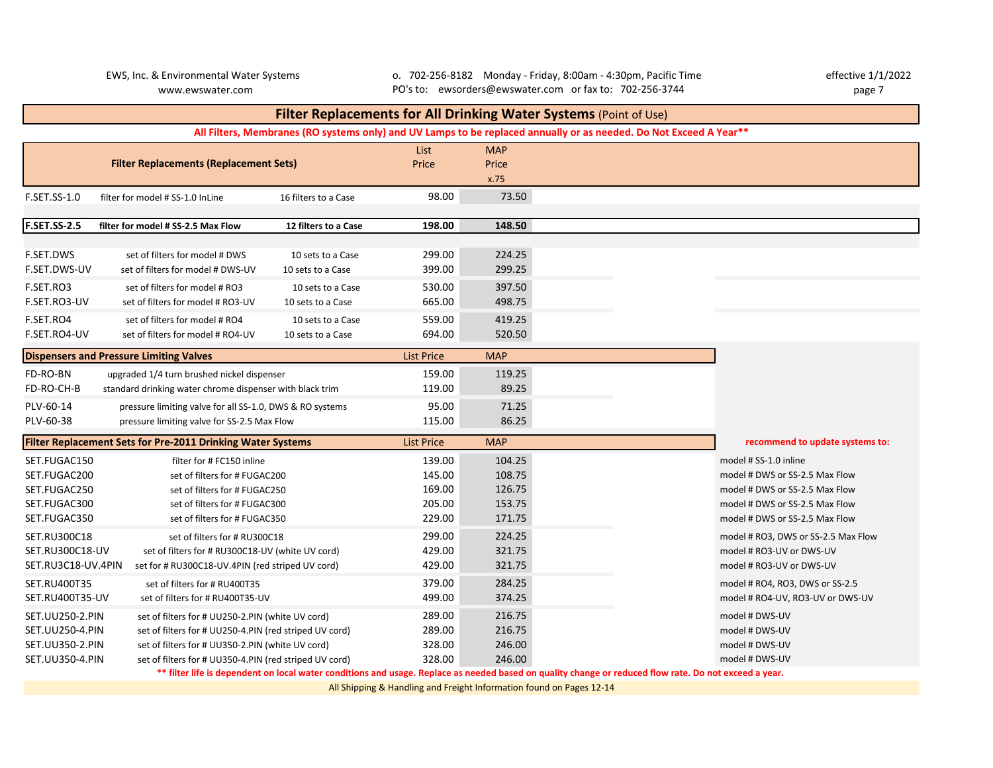EWS, Inc. & Environmental Water Systems o. 702-256-8182 Monday - Friday, 8:00am - 4:30pm, Pacific Time effective 1/1/2022 www.ewswater.com page 7 PO's to: ewsorders@ewswater.com or fax to: 702-256-3744

# List MAP Price Price x.75 F.SET.SS-1.0 filter for model # SS-1.0 InLine 16 filters to a Case 98.00 73.50 **F.SET.SS-2.5 filter for model # SS-2.5 Max Flow 12 filters to a Case 198.00 148.50** F.SET.DWS set of filters for model # DWS 10 sets to a Case 299.00 224.25 F.SET.DWS-UV set of filters for model # DWS-UV 10 sets to a Case 399.00 299.25 F.SET.RO3 set of filters for model # RO3 10 sets to a Case 530.00 397.50 F.SET.RO3-UV set of filters for model # RO3-UV 10 sets to a Case 665.00 498.75 F.SET.RO4 set of filters for model # RO4 10 sets to a Case 559.00 419.25 F.SET.RO4-UV set of filters for model # RO4-UV 10 sets to a Case 694.00 520.50 **Dispensers and Pressure Limiting Valves List Price Communist Price Communist Price Communist Price MAP** FD-RO-BN upgraded 1/4 turn brushed nickel dispenser 159.00 119.25 FD-RO-CH-B standard drinking water chrome dispenser with black trim 119.00 89.25 PLV-60-14 pressure limiting valve for all SS-1.0, DWS & RO systems 95.00 71.25 PLV-60-38 pressure limiting valve for SS-2.5 Max Flow 115.00 86.25 **Filter Replacement Sets for Pre-2011 Drinking Water Systems** List Price MAP SET.FUGAC150 **6 Filter for # FC150 inline 139.00** 104.25 model # SS-1.0 inline 139.00 SET.FUGAC200 set of filters for # FUGAC200 set of the UGAC200 108.75 168.75 model # DWS or SS-2.5 Max Flow SET.FUGAC250 set of filters for # FUGAC250 set of the UGAC250 169.00 126.75 model # DWS or SS-2.5 Max Flow SET.FUGAC300 set of filters for # FUGAC300 set of the UGAC300 205.00 153.75 model # DWS or SS-2.5 Max Flow SET.FUGAC350 set of filters for # FUGAC350 set of the UGAC350 229.00 171.75 model # DWS or SS-2.5 Max Flow SET.RU300C18 set of filters for # RU300C18 300 299.00 224.25 model # RO3, DWS or SS-2.5 Max Flow SET.RU300C18-UV set of filters for # RU300C18-UV (white UV cord) 429.00 321.75 model # RO3-UV or DWS-UV SET.RU3C18-UV.4PIN set for # RU300C18-UV.4PIN (red striped UV cord) 429.00 321.75 model # RO3-UV or DWS-UV or DWS-UV SET.RU400T35 set of filters for # RU400T35 379.00 284.25 model # RO4, RO3, DWS or SS-2.5 SET.RU400T35-UV set of filters for # RU400T35-UV 499.00 374.25 model # RO4-UV, RO3-UV or DWS-UV SET.UU250-2.PIN set of filters for # UU250-2.PIN (white UV cord) 289.00 216.75 model # DWS-UV SET.UU250-4.PIN set of filters for # UU250-4.PIN (red striped UV cord) 289.00 216.75 model # DWS-UV SET.UU350-2.PIN set of filters for # UU350-2.PIN (white UV cord) 328.00 246.00 246.00 model # DWS-UV SET.UU350-4.PIN set of filters for # UU350-4.PIN (red striped UV cord) 328.00 246.00 model # DWS-UV **Filter Replacements for All Drinking Water Systems** (Point of Use) **recommend to update systems to: All Filters, Membranes (RO systems only) and UV Lamps to be replaced annually or as needed. Do Not Exceed A Year\*\* \*\* filter life is dependent on local water conditions and usage. Replace as needed based on quality change or reduced flow rate. Do not exceed a year. Filter Replacements (Replacement Sets)**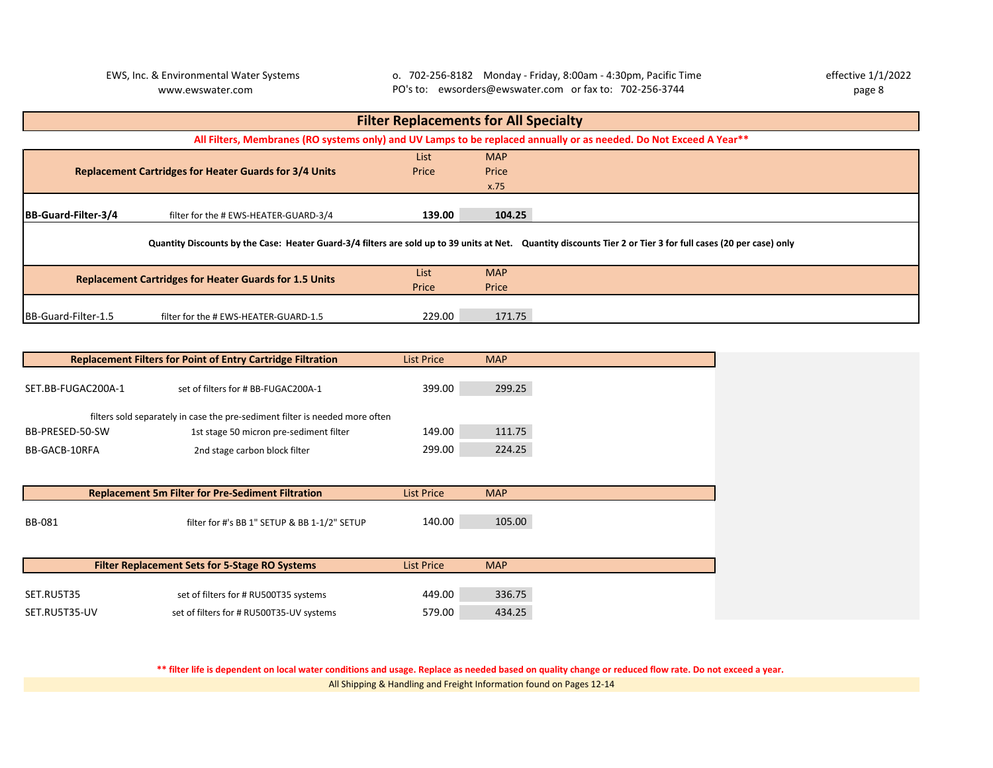EWS, Inc. & Environmental Water Systems o. 702-256-8182 Monday - Friday, 8:00am - 4:30pm, Pacific Time effective 1/1/2022 www.ewswater.com page 8 PO's to: ewsorders@ewswater.com or fax to: 702-256-3744

| <b>Filter Replacements for All Specialty</b> |                                                                                                                                                                |        |            |                                                                                                                    |  |  |  |  |  |
|----------------------------------------------|----------------------------------------------------------------------------------------------------------------------------------------------------------------|--------|------------|--------------------------------------------------------------------------------------------------------------------|--|--|--|--|--|
|                                              |                                                                                                                                                                |        |            | All Filters, Membranes (RO systems only) and UV Lamps to be replaced annually or as needed. Do Not Exceed A Year** |  |  |  |  |  |
|                                              | <b>List</b><br><b>MAP</b>                                                                                                                                      |        |            |                                                                                                                    |  |  |  |  |  |
|                                              | <b>Replacement Cartridges for Heater Guards for 3/4 Units</b>                                                                                                  | Price  | Price      |                                                                                                                    |  |  |  |  |  |
|                                              |                                                                                                                                                                |        | x.75       |                                                                                                                    |  |  |  |  |  |
|                                              |                                                                                                                                                                |        |            |                                                                                                                    |  |  |  |  |  |
| <b>IBB-Guard-Filter-3/4</b>                  | filter for the # EWS-HEATER-GUARD-3/4                                                                                                                          | 139.00 | 104.25     |                                                                                                                    |  |  |  |  |  |
|                                              | Quantity Discounts by the Case: Heater Guard-3/4 filters are sold up to 39 units at Net. Quantity discounts Tier 2 or Tier 3 for full cases (20 per case) only |        |            |                                                                                                                    |  |  |  |  |  |
|                                              | <b>Replacement Cartridges for Heater Guards for 1.5 Units</b>                                                                                                  | List   | <b>MAP</b> |                                                                                                                    |  |  |  |  |  |
|                                              |                                                                                                                                                                | Price  | Price      |                                                                                                                    |  |  |  |  |  |
|                                              |                                                                                                                                                                |        |            |                                                                                                                    |  |  |  |  |  |
| BB-Guard-Filter-1.5                          | filter for the # EWS-HEATER-GUARD-1.5                                                                                                                          | 229.00 | 171.75     |                                                                                                                    |  |  |  |  |  |

| <b>Replacement Filters for Point of Entry Cartridge Filtration</b><br><b>List Price</b> |                                                                              |                   | <b>MAP</b> |  |  |
|-----------------------------------------------------------------------------------------|------------------------------------------------------------------------------|-------------------|------------|--|--|
|                                                                                         | set of filters for # BB-FUGAC200A-1                                          |                   |            |  |  |
| SET.BB-FUGAC200A-1                                                                      | 399.00                                                                       | 299.25            |            |  |  |
|                                                                                         | filters sold separately in case the pre-sediment filter is needed more often |                   |            |  |  |
| BB-PRESED-50-SW                                                                         | 1st stage 50 micron pre-sediment filter                                      | 149.00            | 111.75     |  |  |
| BB-GACB-10RFA                                                                           | 2nd stage carbon block filter                                                | 299.00            | 224.25     |  |  |
|                                                                                         |                                                                              |                   |            |  |  |
|                                                                                         |                                                                              |                   |            |  |  |
|                                                                                         | <b>Replacement 5m Filter for Pre-Sediment Filtration</b>                     | <b>List Price</b> | <b>MAP</b> |  |  |
|                                                                                         |                                                                              |                   |            |  |  |
| <b>BB-081</b>                                                                           | filter for #'s BB 1" SETUP & BB 1-1/2" SETUP                                 | 140.00            | 105.00     |  |  |
|                                                                                         |                                                                              |                   |            |  |  |
|                                                                                         | <b>Filter Replacement Sets for 5-Stage RO Systems</b>                        | <b>List Price</b> | <b>MAP</b> |  |  |
|                                                                                         |                                                                              |                   |            |  |  |
| SET.RU5T35                                                                              | set of filters for # RU500T35 systems                                        | 449.00            | 336.75     |  |  |
|                                                                                         |                                                                              |                   |            |  |  |

All Shipping & Handling and Freight Information found on Pages 12-14 **\*\* filter life is dependent on local water conditions and usage. Replace as needed based on quality change or reduced flow rate. Do not exceed a year.**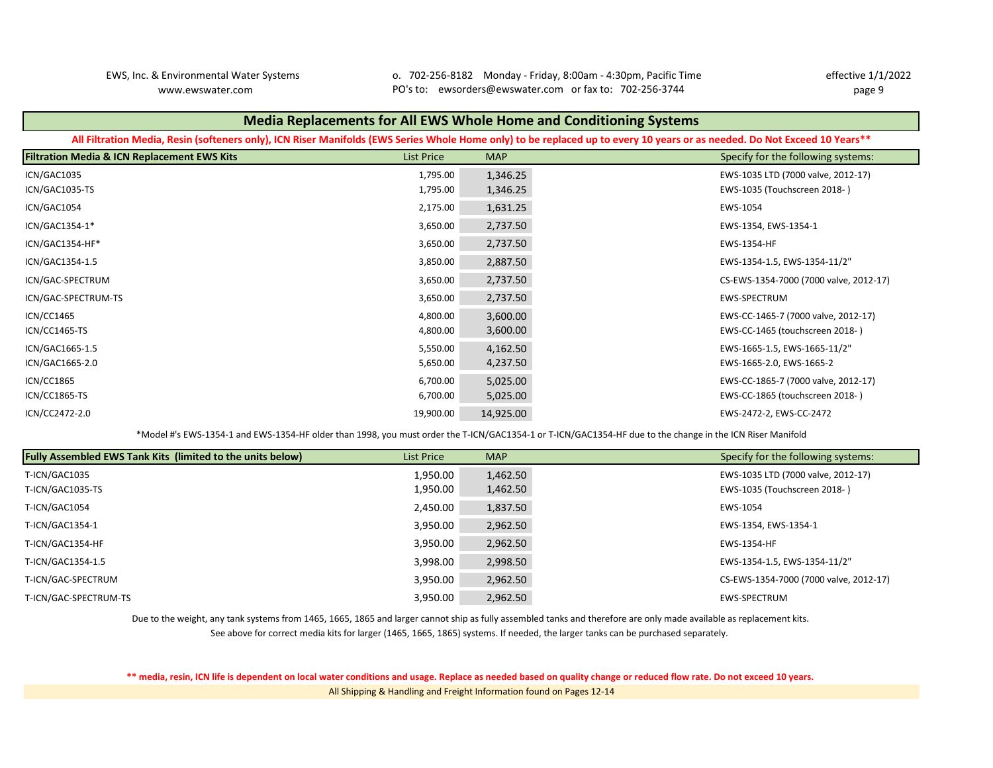EWS, Inc. & Environmental Water Systems o. 702-256-8182 Monday - Friday, 8:00am - 4:30pm, Pacific Time effective 1/1/2022 www.ewswater.com page 9 PO's to: ewsorders@ewswater.com or fax to: 702-256-3744

# **Filtration Media & ICN Replacement EWS Kits** List Price MAP Specify for the following systems: ICN/GAC1035 1,795.00 1,346.25 EWS-1035 LTD (7000 valve, 2012-17) ICN/GAC1035-TS 1,795.00 1,346.25 EWS-1035 (Touchscreen 2018- ) ICN/GAC1054 2,175.00 1,631.25 EWS-1054 ICN/GAC1354-1\* 3,650.00 2,737.50 EWS-1354, EWS-1354-1 ICN/GAC1354-HF\* 3,650.00 2,737.50 EWS-1354-HF ICN/GAC1354-1.5 3,850.00 2,887.50 EWS-1354-1.5, EWS-1354-11/2" ICN/GAC-SPECTRUM 3,650.00 2,737.50 CS-EWS-1354-7000 (7000 valve, 2012-17) ICN/GAC-SPECTRUM-TS 3,650.00 2,737.50 EWS-SPECTRUM ICN/CC1465 4,800.00 3,600.00 EWS-CC-1465-7 (7000 valve, 2012-17) ICN/CC1465-TS 4,800.00 3,600.00 EWS-CC-1465 (touchscreen 2018- ) ICN/GAC1665-1.5 5,550.00 4,162.50 EWS-1665-1.5, EWS-1665-11/2" ICN/GAC1665-2.0 5,650.00 4,237.50 EWS-1665-2.0, EWS-1665-2 ICN/CC1865 6,700.00 5,025.00 EWS-CC-1865-7 (7000 valve, 2012-17) ICN/CC1865-TS 6,700.00 5,025.00 EWS-CC-1865 (touchscreen 2018- ) ICN/CC2472-2.0 19,900.00 14,925.00 EWS-2472-2, EWS-CC-2472 **Media Replacements for All EWS Whole Home and Conditioning Systems All Filtration Media, Resin (softeners only), ICN Riser Manifolds (EWS Series Whole Home only) to be replaced up to every 10 years or as needed. Do Not Exceed 10 Years\*\***

\*Model #'s EWS-1354-1 and EWS-1354-HF older than 1998, you must order the T-ICN/GAC1354-1 or T-ICN/GAC1354-HF due to the change in the ICN Riser Manifold

| <b>Fully Assembled EWS Tank Kits (limited to the units below)</b> | List Price | <b>MAP</b> | Specify for the following systems:     |
|-------------------------------------------------------------------|------------|------------|----------------------------------------|
| T-ICN/GAC1035                                                     | 1,950.00   | 1,462.50   | EWS-1035 LTD (7000 valve, 2012-17)     |
| T-ICN/GAC1035-TS                                                  | 1,950.00   | 1,462.50   | EWS-1035 (Touchscreen 2018-)           |
| T-ICN/GAC1054                                                     | 2,450.00   | 1,837.50   | EWS-1054                               |
| T-ICN/GAC1354-1                                                   | 3,950.00   | 2,962.50   | EWS-1354, EWS-1354-1                   |
| T-ICN/GAC1354-HF                                                  | 3,950.00   | 2,962.50   | EWS-1354-HF                            |
| T-ICN/GAC1354-1.5                                                 | 3,998.00   | 2,998.50   | EWS-1354-1.5, EWS-1354-11/2"           |
| T-ICN/GAC-SPECTRUM                                                | 3,950.00   | 2,962.50   | CS-EWS-1354-7000 (7000 valve, 2012-17) |
| T-ICN/GAC-SPECTRUM-TS                                             | 3,950.00   | 2,962.50   | EWS-SPECTRUM                           |

Due to the weight, any tank systems from 1465, 1665, 1865 and larger cannot ship as fully assembled tanks and therefore are only made available as replacement kits.

See above for correct media kits for larger (1465, 1665, 1865) systems. If needed, the larger tanks can be purchased separately.

**\*\* media, resin, ICN life is dependent on local water conditions and usage. Replace as needed based on quality change or reduced flow rate. Do not exceed 10 years.**  All Shipping & Handling and Freight Information found on Pages 12-14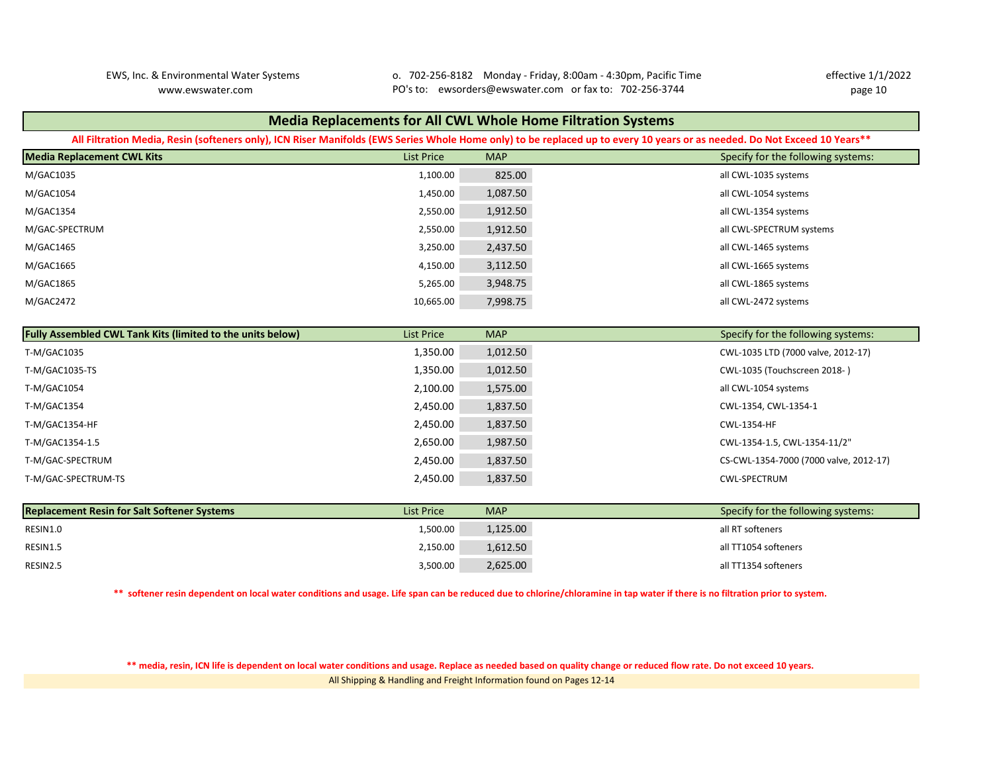EWS, Inc. & Environmental Water Systems o. 702-256-8182 Monday - Friday, 8:00am - 4:30pm, Pacific Time effective 1/1/2022 www.ewswater.com page 10 PO's to: ewsorders@ewswater.com or fax to: 702-256-3744

| <b>Media Replacements for All CWL Whole Home Filtration Systems</b>                                                                                                       |                   |            |                                        |  |  |  |  |  |  |  |
|---------------------------------------------------------------------------------------------------------------------------------------------------------------------------|-------------------|------------|----------------------------------------|--|--|--|--|--|--|--|
| All Filtration Media, Resin (softeners only), ICN Riser Manifolds (EWS Series Whole Home only) to be replaced up to every 10 years or as needed. Do Not Exceed 10 Years** |                   |            |                                        |  |  |  |  |  |  |  |
| <b>Media Replacement CWL Kits</b>                                                                                                                                         | <b>List Price</b> | <b>MAP</b> | Specify for the following systems:     |  |  |  |  |  |  |  |
| M/GAC1035                                                                                                                                                                 | 1,100.00          | 825.00     | all CWL-1035 systems                   |  |  |  |  |  |  |  |
| M/GAC1054                                                                                                                                                                 | 1,450.00          | 1,087.50   | all CWL-1054 systems                   |  |  |  |  |  |  |  |
| M/GAC1354                                                                                                                                                                 | 2,550.00          | 1,912.50   | all CWL-1354 systems                   |  |  |  |  |  |  |  |
| M/GAC-SPECTRUM                                                                                                                                                            | 2,550.00          | 1,912.50   | all CWL-SPECTRUM systems               |  |  |  |  |  |  |  |
| M/GAC1465                                                                                                                                                                 | 3,250.00          | 2,437.50   | all CWL-1465 systems                   |  |  |  |  |  |  |  |
| M/GAC1665                                                                                                                                                                 | 4,150.00          | 3,112.50   | all CWL-1665 systems                   |  |  |  |  |  |  |  |
| M/GAC1865                                                                                                                                                                 | 5,265.00          | 3,948.75   | all CWL-1865 systems                   |  |  |  |  |  |  |  |
| M/GAC2472                                                                                                                                                                 | 10,665.00         | 7,998.75   | all CWL-2472 systems                   |  |  |  |  |  |  |  |
|                                                                                                                                                                           |                   |            |                                        |  |  |  |  |  |  |  |
| Fully Assembled CWL Tank Kits (limited to the units below)                                                                                                                | <b>List Price</b> | <b>MAP</b> | Specify for the following systems:     |  |  |  |  |  |  |  |
| T-M/GAC1035                                                                                                                                                               | 1,350.00          | 1,012.50   | CWL-1035 LTD (7000 valve, 2012-17)     |  |  |  |  |  |  |  |
| T-M/GAC1035-TS                                                                                                                                                            | 1,350.00          | 1,012.50   | CWL-1035 (Touchscreen 2018-)           |  |  |  |  |  |  |  |
| T-M/GAC1054                                                                                                                                                               | 2,100.00          | 1,575.00   | all CWL-1054 systems                   |  |  |  |  |  |  |  |
| T-M/GAC1354                                                                                                                                                               | 2,450.00          | 1,837.50   | CWL-1354, CWL-1354-1                   |  |  |  |  |  |  |  |
| T-M/GAC1354-HF                                                                                                                                                            | 2,450.00          | 1,837.50   | CWL-1354-HF                            |  |  |  |  |  |  |  |
| T-M/GAC1354-1.5                                                                                                                                                           | 2,650.00          | 1,987.50   | CWL-1354-1.5, CWL-1354-11/2"           |  |  |  |  |  |  |  |
| T-M/GAC-SPECTRUM                                                                                                                                                          | 2,450.00          | 1,837.50   | CS-CWL-1354-7000 (7000 valve, 2012-17) |  |  |  |  |  |  |  |
| T-M/GAC-SPECTRUM-TS                                                                                                                                                       | 2,450.00          | 1,837.50   | CWL-SPECTRUM                           |  |  |  |  |  |  |  |
|                                                                                                                                                                           |                   |            |                                        |  |  |  |  |  |  |  |
| <b>Replacement Resin for Salt Softener Systems</b>                                                                                                                        | <b>List Price</b> | <b>MAP</b> | Specify for the following systems:     |  |  |  |  |  |  |  |
| RESIN1.0                                                                                                                                                                  | 1,500.00          | 1,125.00   | all RT softeners                       |  |  |  |  |  |  |  |
| RESIN1.5                                                                                                                                                                  | 2,150.00          | 1,612.50   | all TT1054 softeners                   |  |  |  |  |  |  |  |
| RESIN2.5                                                                                                                                                                  | 3,500.00          | 2,625.00   | all TT1354 softeners                   |  |  |  |  |  |  |  |

**\*\* softener resin dependent on local water conditions and usage. Life span can be reduced due to chlorine/chloramine in tap water if there is no filtration prior to system.** 

All Shipping & Handling and Freight Information found on Pages 12-14 **\*\* media, resin, ICN life is dependent on local water conditions and usage. Replace as needed based on quality change or reduced flow rate. Do not exceed 10 years.**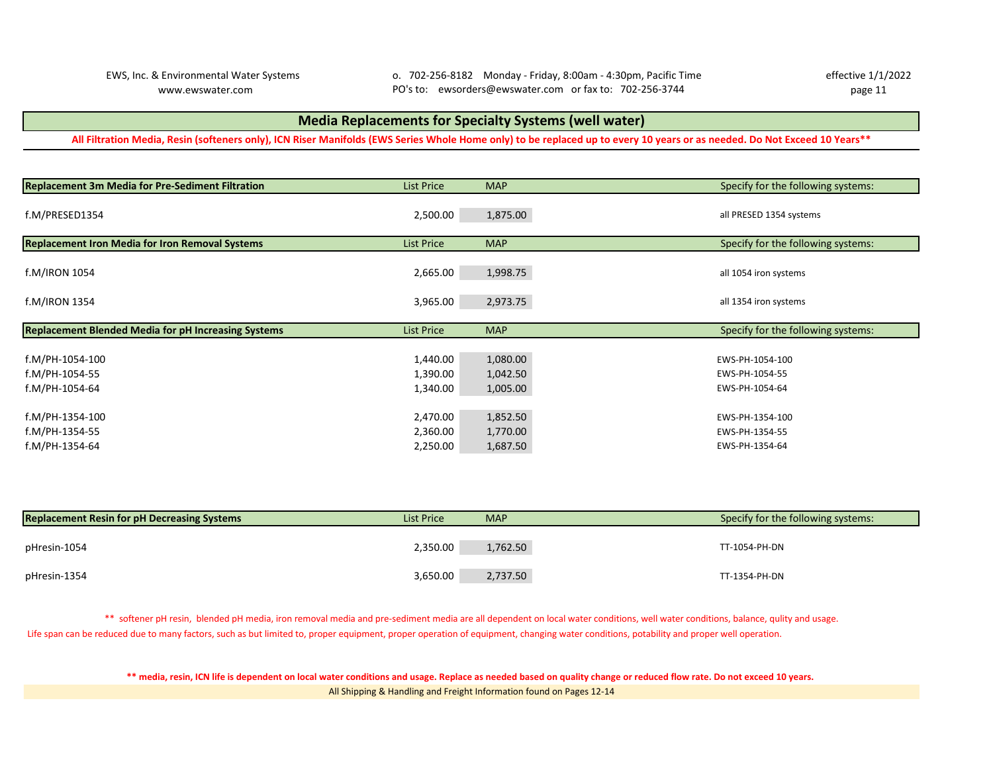### **Media Replacements for Specialty Systems (well water)**

**All Filtration Media, Resin (softeners only), ICN Riser Manifolds (EWS Series Whole Home only) to be replaced up to every 10 years or as needed. Do Not Exceed 10 Years\*\***

| Replacement 3m Media for Pre-Sediment Filtration           | <b>List Price</b>                | <b>MAP</b>                       | Specify for the following systems:                  |
|------------------------------------------------------------|----------------------------------|----------------------------------|-----------------------------------------------------|
| f.M/PRESED1354                                             | 2,500.00                         | 1,875.00                         | all PRESED 1354 systems                             |
| Replacement Iron Media for Iron Removal Systems            | <b>List Price</b>                | <b>MAP</b>                       | Specify for the following systems:                  |
| f.M/IRON 1054                                              | 2,665.00                         | 1,998.75                         | all 1054 iron systems                               |
| f.M/IRON 1354                                              | 3,965.00                         | 2,973.75                         | all 1354 iron systems                               |
|                                                            |                                  |                                  |                                                     |
| <b>Replacement Blended Media for pH Increasing Systems</b> | <b>List Price</b>                | <b>MAP</b>                       | Specify for the following systems:                  |
| f.M/PH-1054-100<br>f.M/PH-1054-55<br>f.M/PH-1054-64        | 1,440.00<br>1,390.00<br>1,340.00 | 1,080.00<br>1,042.50<br>1,005.00 | EWS-PH-1054-100<br>EWS-PH-1054-55<br>EWS-PH-1054-64 |
| f.M/PH-1354-100<br>f.M/PH-1354-55                          | 2,470.00<br>2,360.00             | 1,852.50<br>1,770.00             | EWS-PH-1354-100<br>EWS-PH-1354-55                   |
| f.M/PH-1354-64                                             | 2,250.00                         | 1,687.50                         | EWS-PH-1354-64                                      |

| <b>Replacement Resin for pH Decreasing Systems</b> | List Price | <b>MAP</b> | Specify for the following systems: |  |  |  |
|----------------------------------------------------|------------|------------|------------------------------------|--|--|--|
| pHresin-1054                                       | 2,350.00   | 1,762.50   | TT-1054-PH-DN                      |  |  |  |
| pHresin-1354                                       | 3,650.00   | 2,737.50   | TT-1354-PH-DN                      |  |  |  |

Life span can be reduced due to many factors, such as but limited to, proper equipment, proper operation of equipment, changing water conditions, potability and proper well operation. \*\* softener pH resin, blended pH media, iron removal media and pre-sediment media are all dependent on local water conditions, well water conditions, balance, qulity and usage.

> All Shipping & Handling and Freight Information found on Pages 12-14 **\*\* media, resin, ICN life is dependent on local water conditions and usage. Replace as needed based on quality change or reduced flow rate. Do not exceed 10 years.**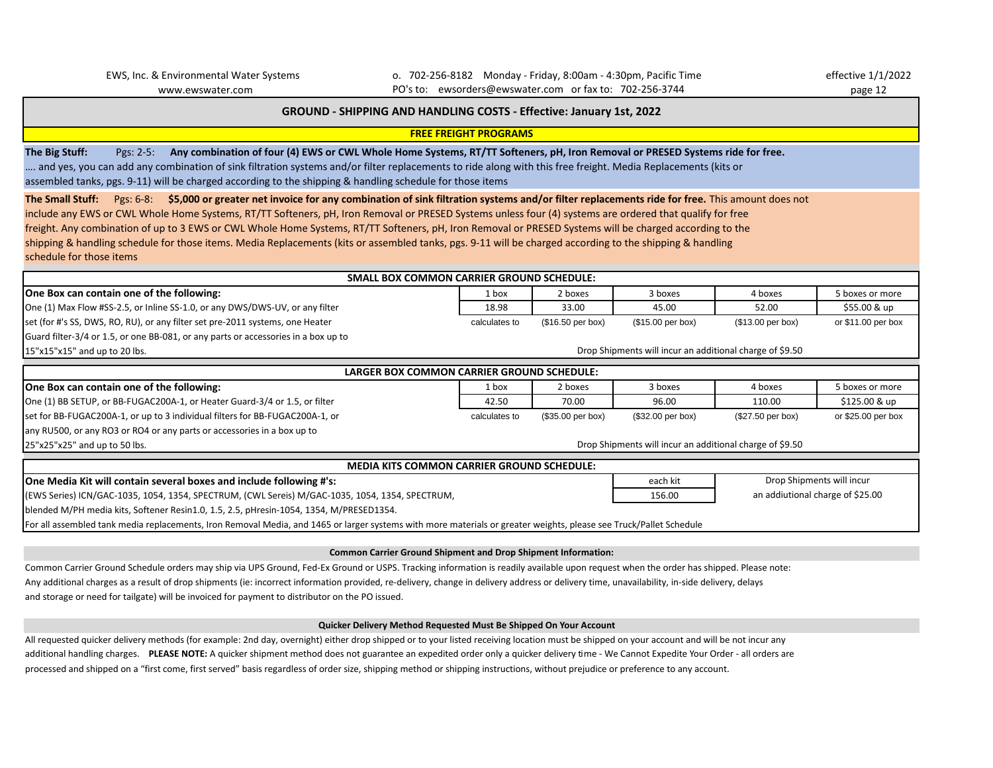EWS, Inc. & Environmental Water Systems o. 702-256-8182 Monday - Friday, 8:00am - 4:30pm, Pacific Time effective 1/1/2022 www.ewswater.com page 12 PO's to: ewsorders@ewswater.com or fax to: 702-256-3744

### **GROUND - SHIPPING AND HANDLING COSTS - Effective: January 1st, 2022**

**FREE FREIGHT PROGRAMS**

**The Big Stuff:** Pgs: 2-5: **Any combination of four (4) EWS or CWL Whole Home Systems, RT/TT Softeners, pH, Iron Removal or PRESED Systems ride for free.**  …. and yes, you can add any combination of sink filtration systems and/or filter replacements to ride along with this free freight. Media Replacements (kits or assembled tanks, pgs. 9-11) will be charged according to the shipping & handling schedule for those items

**The Small Stuff:** Pgs: 6-8: **\$5,000 or greater net invoice for any combination of sink filtration systems and/or filter replacements ride for free.** This amount does not include any EWS or CWL Whole Home Systems, RT/TT Softeners, pH, Iron Removal or PRESED Systems unless four (4) systems are ordered that qualify for free freight. Any combination of up to 3 EWS or CWL Whole Home Systems, RT/TT Softeners, pH, Iron Removal or PRESED Systems will be charged according to the shipping & handling schedule for those items. Media Replacements (kits or assembled tanks, pgs. 9-11 will be charged according to the shipping & handling schedule for those items

| <b>SMALL BOX COMMON CARRIER GROUND SCHEDULE:</b>                                                                                                                   |                                            |                   |                   |                     |                     |  |  |  |  |  |
|--------------------------------------------------------------------------------------------------------------------------------------------------------------------|--------------------------------------------|-------------------|-------------------|---------------------|---------------------|--|--|--|--|--|
| One Box can contain one of the following:                                                                                                                          | 1 box                                      | 2 boxes           | 3 boxes           | 4 boxes             | 5 boxes or more     |  |  |  |  |  |
| One (1) Max Flow #SS-2.5, or Inline SS-1.0, or any DWS/DWS-UV, or any filter                                                                                       | 18.98                                      | 33.00             | 45.00             | 52.00               | \$55.00 & up        |  |  |  |  |  |
| set (for #'s SS, DWS, RO, RU), or any filter set pre-2011 systems, one Heater                                                                                      | calculates to                              | (\$16.50 per box) | (\$15.00 per box) | (\$13.00 per box)   | or $$11.00$ per box |  |  |  |  |  |
| Guard filter-3/4 or 1.5, or one BB-081, or any parts or accessories in a box up to                                                                                 |                                            |                   |                   |                     |                     |  |  |  |  |  |
| Drop Shipments will incur an additional charge of \$9.50<br>15"x15"x15" and up to 20 lbs.                                                                          |                                            |                   |                   |                     |                     |  |  |  |  |  |
| LARGER BOX COMMON CARRIER GROUND SCHEDULE:                                                                                                                         |                                            |                   |                   |                     |                     |  |  |  |  |  |
| One Box can contain one of the following:                                                                                                                          | 1 box                                      | 2 boxes           | 3 boxes           | 4 boxes             | 5 boxes or more     |  |  |  |  |  |
| One (1) BB SETUP, or BB-FUGAC200A-1, or Heater Guard-3/4 or 1.5, or filter                                                                                         | 42.50                                      | 70.00             | 96.00<br>110.00   |                     | \$125.00 & up       |  |  |  |  |  |
| set for BB-FUGAC200A-1, or up to 3 individual filters for BB-FUGAC200A-1, or                                                                                       | calculates to                              | (\$35.00 per box) | (\$32.00 per box) | $(\$27.50$ per box) | or $$25.00$ per box |  |  |  |  |  |
| any RU500, or any RO3 or RO4 or any parts or accessories in a box up to                                                                                            |                                            |                   |                   |                     |                     |  |  |  |  |  |
| Drop Shipments will incur an additional charge of \$9.50<br>$25"x25"x25"$ and up to 50 lbs.                                                                        |                                            |                   |                   |                     |                     |  |  |  |  |  |
| <b>MEDIA KITS COMMON CARRIER GROUND SCHEDULE:</b>                                                                                                                  |                                            |                   |                   |                     |                     |  |  |  |  |  |
| One Media Kit will contain several boxes and include following #'s:                                                                                                | Drop Shipments will incur<br>each kit      |                   |                   |                     |                     |  |  |  |  |  |
| (EWS Series) ICN/GAC-1035, 1054, 1354, SPECTRUM, (CWL Sereis) M/GAC-1035, 1054, 1354, SPECTRUM,                                                                    | an addiutional charge of \$25.00<br>156.00 |                   |                   |                     |                     |  |  |  |  |  |
| blended M/PH media kits, Softener Resin1.0, 1.5, 2.5, pHresin-1054, 1354, M/PRESED1354.                                                                            |                                            |                   |                   |                     |                     |  |  |  |  |  |
| For all assembled tank media replacements, Iron Removal Media, and 1465 or larger systems with more materials or greater weights, please see Truck/Pallet Schedule |                                            |                   |                   |                     |                     |  |  |  |  |  |

#### **Common Carrier Ground Shipment and Drop Shipment Information:**

Common Carrier Ground Schedule orders may ship via UPS Ground, Fed-Ex Ground or USPS. Tracking information is readily available upon request when the order has shipped. Please note: Any additional charges as a result of drop shipments (ie: incorrect information provided, re-delivery, change in delivery address or delivery time, unavailability, in-side delivery, delays and storage or need for tailgate) will be invoiced for payment to distributor on the PO issued.

#### **Quicker Delivery Method Requested Must Be Shipped On Your Account**

All requested quicker delivery methods (for example: 2nd day, overnight) either drop shipped or to your listed receiving location must be shipped on your account and will be not incur any additional handling charges. PLEASE NOTE: A quicker shipment method does not guarantee an expedited order only a quicker delivery time - We Cannot Expedite Your Order - all orders are processed and shipped on a "first come, first served" basis regardless of order size, shipping method or shipping instructions, without prejudice or preference to any account.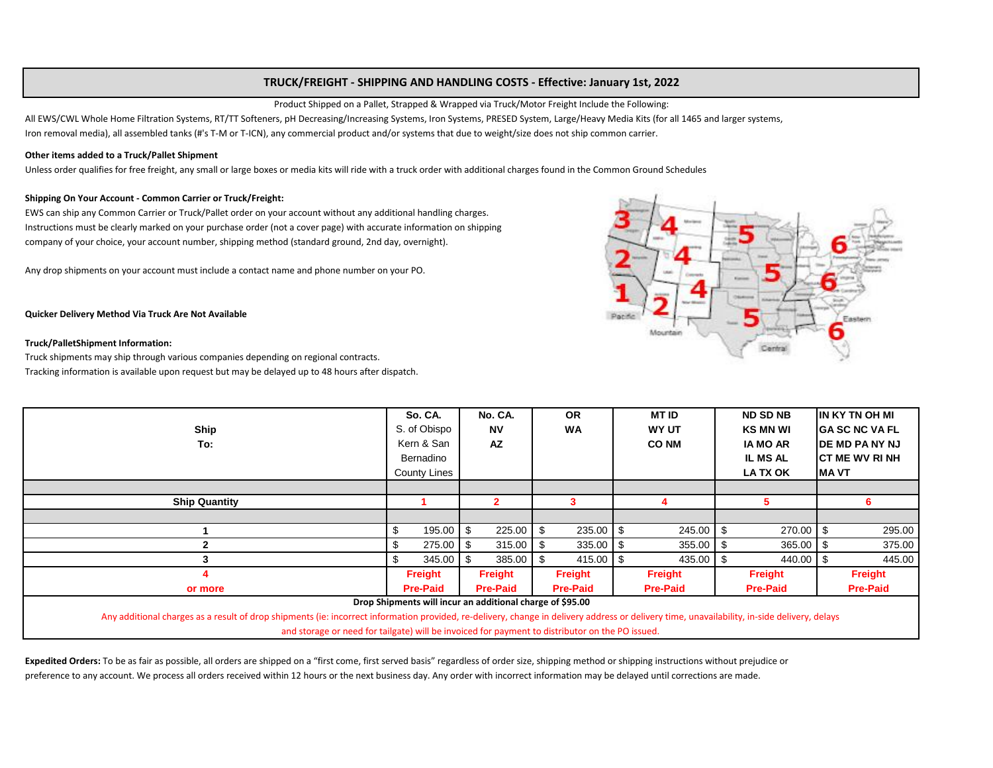### **TRUCK/FREIGHT - SHIPPING AND HANDLING COSTS - Effective: January 1st, 2022**

Product Shipped on a Pallet, Strapped & Wrapped via Truck/Motor Freight Include the Following:

All EWS/CWL Whole Home Filtration Systems, RT/TT Softeners, pH Decreasing/Increasing Systems, Iron Systems, PRESED System, Large/Heavy Media Kits (for all 1465 and larger systems, Iron removal media), all assembled tanks (#'s T-M or T-ICN), any commercial product and/or systems that due to weight/size does not ship common carrier.

#### **Other items added to a Truck/Pallet Shipment**

Unless order qualifies for free freight, any small or large boxes or media kits will ride with a truck order with additional charges found in the Common Ground Schedules

#### **Shipping On Your Account - Common Carrier or Truck/Freight:**

EWS can ship any Common Carrier or Truck/Pallet order on your account without any additional handling charges. Instructions must be clearly marked on your purchase order (not a cover page) with accurate information on shipping company of your choice, your account number, shipping method (standard ground, 2nd day, overnight).

Any drop shipments on your account must include a contact name and phone number on your PO.

Mountain ۰ Centr

#### **Quicker Delivery Method Via Truck Are Not Available**

#### **Truck/PalletShipment Information:**

Truck shipments may ship through various companies depending on regional contracts. Tracking information is available upon request but may be delayed up to 48 hours after dispatch.

| <b>Ship</b><br>To:                                                                                                                                                                                                                                        | So. CA.<br>S. of Obispo<br>Kern & San<br>Bernadino<br>County Lines |               | No. CA.<br><b>NV</b><br>AZ |        | <b>OR</b><br><b>WA</b> |               | <b>MT ID</b><br><b>WY UT</b><br><b>CO NM</b> |             | <b>ND SD NB</b><br><b>KS MN WI</b><br><b>IA MO AR</b><br><b>IL MS AL</b><br>LA TX OK |             | IIN KY TN OH MI<br>IGA SC NC VA FL<br><b>IDE MD PANY NJ</b><br>ICT ME WV RI NH<br>IMA VT |        |  |
|-----------------------------------------------------------------------------------------------------------------------------------------------------------------------------------------------------------------------------------------------------------|--------------------------------------------------------------------|---------------|----------------------------|--------|------------------------|---------------|----------------------------------------------|-------------|--------------------------------------------------------------------------------------|-------------|------------------------------------------------------------------------------------------|--------|--|
|                                                                                                                                                                                                                                                           |                                                                    |               |                            |        |                        |               |                                              |             |                                                                                      |             |                                                                                          |        |  |
| <b>Ship Quantity</b>                                                                                                                                                                                                                                      |                                                                    |               |                            | 2      |                        | 3.            |                                              |             |                                                                                      |             |                                                                                          | 6      |  |
|                                                                                                                                                                                                                                                           |                                                                    |               |                            |        |                        |               |                                              |             |                                                                                      |             |                                                                                          |        |  |
|                                                                                                                                                                                                                                                           | \$                                                                 | $195.00$ \$   |                            | 225.00 | -\$                    | 235.00        | \$                                           | 245.00 \$   |                                                                                      | 270.00      |                                                                                          | 295.00 |  |
|                                                                                                                                                                                                                                                           | \$                                                                 | $275.00$ \$   |                            | 315.00 | - \$                   | $335.00$ \$   |                                              | $355.00$ \$ |                                                                                      | $365.00$ \$ |                                                                                          | 375.00 |  |
|                                                                                                                                                                                                                                                           | \$                                                                 | $345.00$ \ \$ |                            | 385.00 | - \$                   | $415.00$ \ \$ |                                              | 435.00 \$   |                                                                                      | 440.00 \$   |                                                                                          | 445.00 |  |
|                                                                                                                                                                                                                                                           | Freight                                                            |               | Freight                    |        | <b>Freight</b>         |               | Freight                                      |             | Freight                                                                              |             | Freight                                                                                  |        |  |
| or more                                                                                                                                                                                                                                                   | <b>Pre-Paid</b>                                                    |               | <b>Pre-Paid</b>            |        | <b>Pre-Paid</b>        |               | <b>Pre-Paid</b>                              |             | <b>Pre-Paid</b>                                                                      |             | <b>Pre-Paid</b>                                                                          |        |  |
| Drop Shipments will incur an additional charge of \$95.00<br>Any additional charges as a result of drop shipments (ie: incorrect information provided, re-delivery, change in delivery address or delivery time, unavailability, in-side delivery, delays |                                                                    |               |                            |        |                        |               |                                              |             |                                                                                      |             |                                                                                          |        |  |
| and storage or need for tailgate) will be invoiced for payment to distributor on the PO issued.                                                                                                                                                           |                                                                    |               |                            |        |                        |               |                                              |             |                                                                                      |             |                                                                                          |        |  |

Expedited Orders: To be as fair as possible, all orders are shipped on a "first come, first served basis" regardless of order size, shipping method or shipping instructions without prejudice or preference to any account. We process all orders received within 12 hours or the next business day. Any order with incorrect information may be delayed until corrections are made.